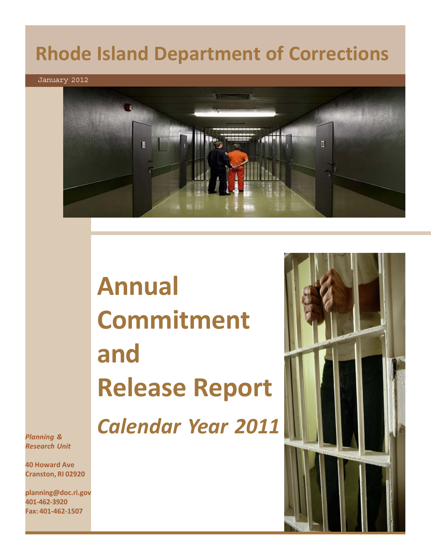# **Rhode Island Department of Corrections**

January 2012



**Annual Commitment and Release Report**

*Calendar Year 2011*



*Planning & Research Unit*

**40 Howard Ave Cranston, RI 02920**

**planning@doc.ri.gov 401-462-3920 Fax: 401-462-1507**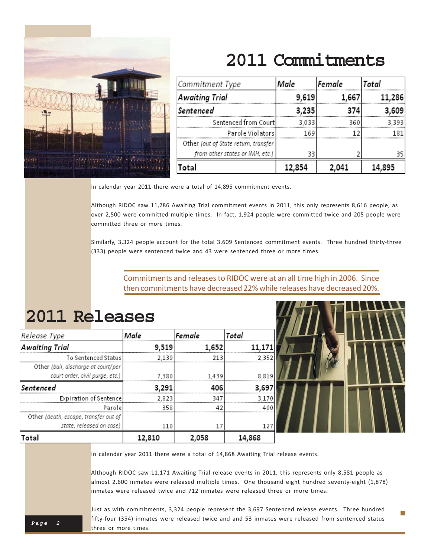

## **2011 Commitments**

| Commitment Type                      | Male   | Female | Total  |  |  |
|--------------------------------------|--------|--------|--------|--|--|
| Awaiting Trial                       | 9,619  | 1.667  | 11,286 |  |  |
| Sentenced                            | 3,235  | 374    | 3.609  |  |  |
| Sentenced from Court                 | 3.033  | 360    | 3 393  |  |  |
| Parole Violatorsl                    | 169    |        |        |  |  |
| Other (out of State return, transfer |        |        |        |  |  |
| from other states or IMH, etc.)      | 33     |        |        |  |  |
| Total                                | 12,854 |        |        |  |  |

In calendar year 2011 there were a total of 14,895 commitment events.

Although RIDOC saw 11,286 Awaiting Trial commitment events in 2011, this only represents 8,616 people, as over 2,500 were committed multiple times. In fact, 1,924 people were committed twice and 205 people were committed three or more times.

Similarly, 3,324 people account for the total 3,609 Sentenced commitment events. Three hundred thirty-three (333) people were sentenced twice and 43 were sentenced three or more times.

> Commitments and releases to RIDOC were at an all time high in 2006. Since then commitments have decreased 22% while releases have decreased 20%.

### **2011 Releases**

| Release Type                          | Male   | Female | Total  |  |  |  |  |
|---------------------------------------|--------|--------|--------|--|--|--|--|
| <b>Awaiting Trial</b>                 | 9.519  | 1,652  |        |  |  |  |  |
| To Sentenced Status                   | 2.139  | 213    | 2.352  |  |  |  |  |
| Other (bail, discharge at court/per   |        |        |        |  |  |  |  |
| court order, civil purge, etc.)       | 7.380  | 1.439  | 8.819  |  |  |  |  |
| Sentenced                             | 3.291  | 406    | 3.697  |  |  |  |  |
| Expiration of Sentence                | 2.823  | 347    | 3170   |  |  |  |  |
| Parole                                | 358    | 42     | 400    |  |  |  |  |
| Other (death, escape, transfer out of |        |        |        |  |  |  |  |
| state, released on case)              | 110    |        | 127    |  |  |  |  |
| Total                                 | 12,810 | 2,058  | 14,868 |  |  |  |  |

In calendar year 2011 there were a total of 14,868 Awaiting Trial release events.

Although RIDOC saw 11,171 Awaiting Trial release events in 2011, this represents only 8,581 people as almost 2,600 inmates were released multiple times. One thousand eight hundred seventy-eight (1,878) inmates were released twice and 712 inmates were released three or more times.

m.

**Page 2** Just as with commitments, 3,324 people represent the 3,697 Sentenced release events. Three hundred fifty-four (354) inmates were released twice and and 53 inmates were released from sentenced status three or more times.